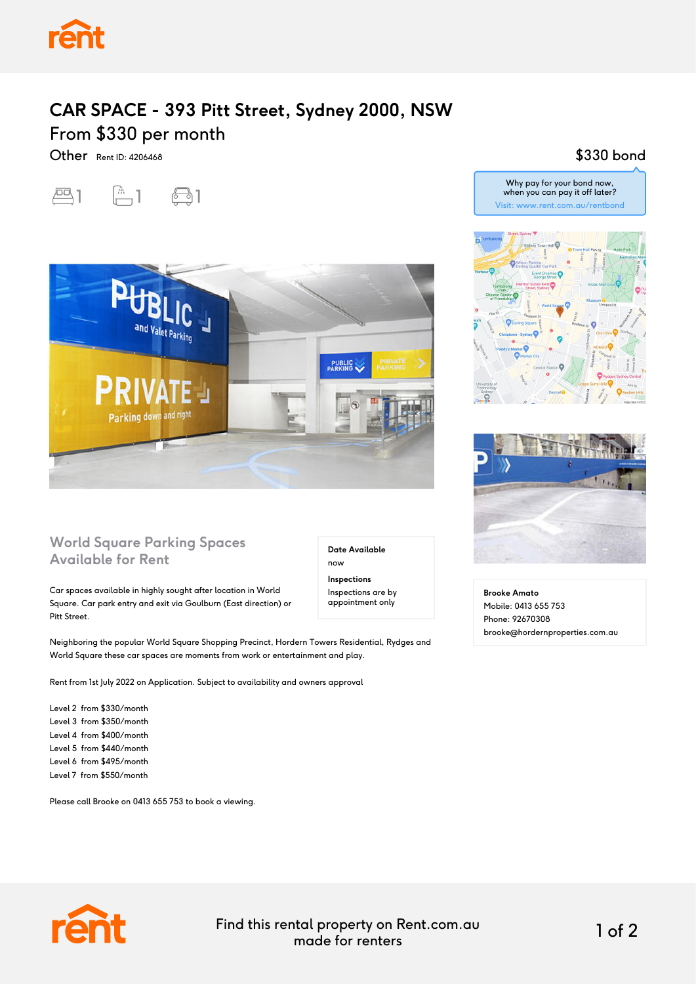

## **CAR SPACE - 393 Pitt Street, Sydney 2000, NSW** From \$330 per month

Other Rent ID: 4206468

## $\boxed{23}$  1  $\boxed{1}$   $\boxed{3}$  1



## **World Square Parking Spaces Available for Rent**

Car spaces available in highly sought after location in World Square. Car park entry and exit via Goulburn (East direction) or Pitt Street.

Neighboring the popular World Square Shopping Precinct, Hordern Towers Residential, Rydges and World Square these car spaces are moments from work or entertainment and play.

Rent from 1st July 2022 on Application. Subject to availability and owners approval

Level 2 from \$330/month Level 3 from \$350/month Level 4 from \$400/month Level 5 from \$440/month Level 6 from \$495/month Level 7 from \$550/month

Please call Brooke on 0413 655 753 to book a viewing.

**Date Available** now **Inspections**

Inspections are by appointment only

Why pay for your bond now, when you can pay it off later? Visit: www.rent.com.au/rentbond

\$330 bond





**Brooke Amato** Mobile: 0413 655 753 Phone: 92670308 brooke@hordernproperties.com.au



Find this rental property on Rent.com.au made for renters 1 of 2